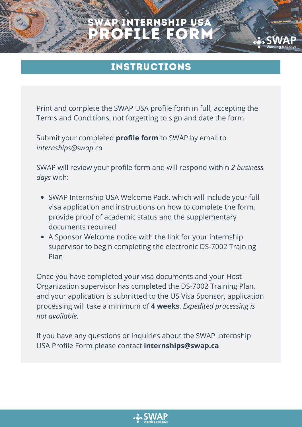# P INTERNSHIP USA PROFILE FORM

instructions

Print and complete the SWAP USA profile form in full, accepting the Terms and Conditions, not forgetting to sign and date the form.

Submit your completed **profile form** to SWAP by email to *internships@swap.ca*

SWAP will review your profile form and will respond within *2 business days* with:

- SWAP Internship USA Welcome Pack, which will include your full visa application and instructions on how to complete the form, provide proof of academic status and the supplementary documents required
- A Sponsor Welcome notice with the link for your internship supervisor to begin completing the electronic DS-7002 Training Plan

Once you have completed your visa documents and your Host Organization supervisor has completed the DS-7002 Training Plan, and your application is submitted to the US Visa Sponsor, application processing will take a minimum of **4 weeks**. *Expedited processing is not available.*

If you have any questions or inquiries about the SWAP Internship USA Profile Form please contact **internships@swap.ca**

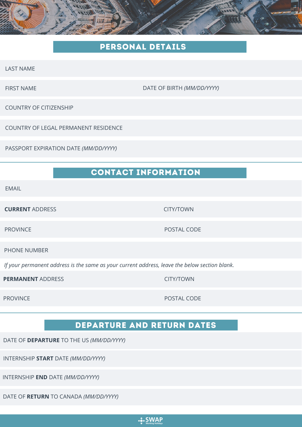### pERSONAL DETAILS

LAST NAME

FIRST NAME DATE OF BIRTH *(MM/DD/YYYY)*

COUNTRY OF CITIZENSHIP

COUNTRY OF LEGAL PERMANENT RESIDENCE

PASSPORT EXPIRATION DATE *(MM/DD/YYYY)*

## contact information

EMAIL

**CURRENT** ADDRESS **CURRENT** AND RESERVE THE CURRENT AND RESERVE THE CURRENT AND RESERVE THE CURRENT OWNER.

PROVINCE POSTAL CODE

PHONE NUMBER

*If your permanent address is the same as your current address, leave the below section blank.*

**PERMANENT** ADDRESS **CITY/TOWN** 

PROVINCE PROVINCE PROVINCE

#### DEPARTURE AND RETURN DATES

DATE OF **DEPARTURE** TO THE US *(MM/DD/YYYY)*

INTERNSHIP **START** DATE *(MM/DD/YYYY)*

INTERNSHIP **END** DATE *(MM/DD/YYYY)*

DATE OF **RETURN** TO CANADA *(MM/DD/YYYY)*

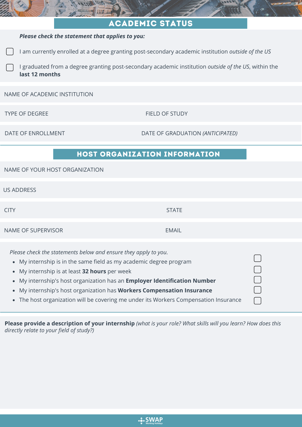| <b>ACADEMIC STATUS</b>                                                                                                                                                                                                                                                                                                                                                                                                                                             |                                  |
|--------------------------------------------------------------------------------------------------------------------------------------------------------------------------------------------------------------------------------------------------------------------------------------------------------------------------------------------------------------------------------------------------------------------------------------------------------------------|----------------------------------|
| Please check the statement that applies to you:                                                                                                                                                                                                                                                                                                                                                                                                                    |                                  |
| I am currently enrolled at a degree granting post-secondary academic institution outside of the US                                                                                                                                                                                                                                                                                                                                                                 |                                  |
| I graduated from a degree granting post-secondary academic institution <i>outside of the US</i> , within the<br>last 12 months                                                                                                                                                                                                                                                                                                                                     |                                  |
| NAME OF ACADEMIC INSTITUTION                                                                                                                                                                                                                                                                                                                                                                                                                                       |                                  |
| <b>TYPE OF DEGREE</b>                                                                                                                                                                                                                                                                                                                                                                                                                                              | FIELD OF STUDY                   |
| DATE OF ENROLLMENT                                                                                                                                                                                                                                                                                                                                                                                                                                                 | DATE OF GRADUATION (ANTICIPATED) |
| <b>HOST ORGANIZATION INFORMATION</b>                                                                                                                                                                                                                                                                                                                                                                                                                               |                                  |
| NAME OF YOUR HOST ORGANIZATION                                                                                                                                                                                                                                                                                                                                                                                                                                     |                                  |
| <b>US ADDRESS</b>                                                                                                                                                                                                                                                                                                                                                                                                                                                  |                                  |
| <b>CITY</b>                                                                                                                                                                                                                                                                                                                                                                                                                                                        | <b>STATE</b>                     |
| <b>NAME OF SUPERVISOR</b>                                                                                                                                                                                                                                                                                                                                                                                                                                          | <b>EMAIL</b>                     |
| Please check the statements below and ensure they apply to you.<br>My internship is in the same field as my academic degree program<br>$\bullet$<br>My internship is at least 32 hours per week<br>$\bullet$<br>My internship's host organization has an Employer Identification Number<br>My internship's host organization has Workers Compensation Insurance<br>$\bullet$<br>The host organization will be covering me under its Workers Compensation Insurance |                                  |

Please provide a description of your internship (what is your role? What skills will you learn? How does this *directly relate to your field of study?)*